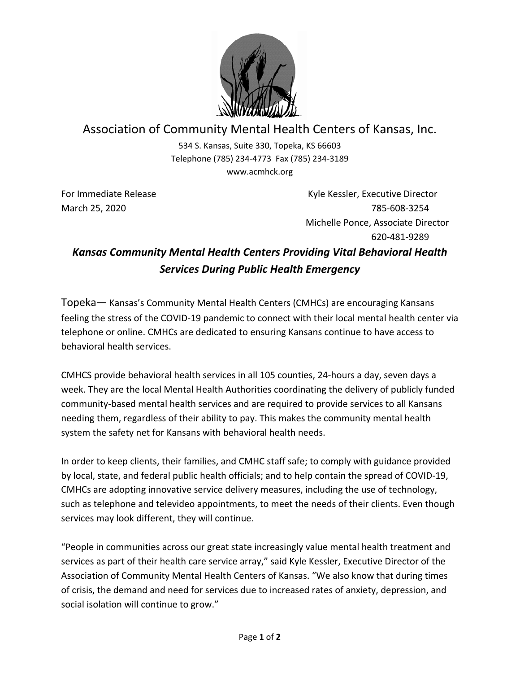

## Association of Community Mental Health Centers of Kansas, Inc.

534 S. Kansas, Suite 330, Topeka, KS 66603 Telephone (785) 234-4773 Fax (785) 234-3189 www.acmhck.org

For Immediate Release **Kyle Kessler, Executive Director** Kyle Kessler, Executive Director March 25, 2020 785-608-3254 Michelle Ponce, Associate Director 620-481-9289

## *Kansas Community Mental Health Centers Providing Vital Behavioral Health Services During Public Health Emergency*

Topeka— Kansas's Community Mental Health Centers (CMHCs) are encouraging Kansans feeling the stress of the COVID-19 pandemic to connect with their local mental health center via telephone or online. CMHCs are dedicated to ensuring Kansans continue to have access to behavioral health services.

CMHCS provide behavioral health services in all 105 counties, 24-hours a day, seven days a week. They are the local Mental Health Authorities coordinating the delivery of publicly funded community-based mental health services and are required to provide services to all Kansans needing them, regardless of their ability to pay. This makes the community mental health system the safety net for Kansans with behavioral health needs.

In order to keep clients, their families, and CMHC staff safe; to comply with guidance provided by local, state, and federal public health officials; and to help contain the spread of COVID-19, CMHCs are adopting innovative service delivery measures, including the use of technology, such as telephone and televideo appointments, to meet the needs of their clients. Even though services may look different, they will continue.

"People in communities across our great state increasingly value mental health treatment and services as part of their health care service array," said Kyle Kessler, Executive Director of the Association of Community Mental Health Centers of Kansas. "We also know that during times of crisis, the demand and need for services due to increased rates of anxiety, depression, and social isolation will continue to grow."